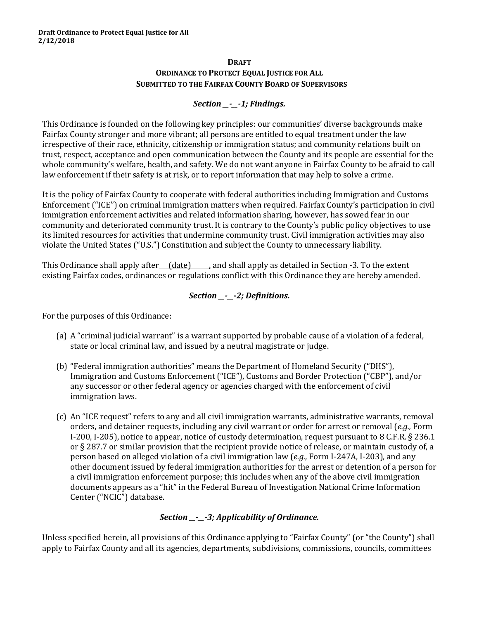#### **DRAFT ORDINANCE TO PROTECT EQUAL JUSTICE FOR ALL SUBMITTED TO THE FAIRFAX COUNTY BOARD OF SUPERVISORS**

## *Section \_\_-\_\_-1; Findings.*

This Ordinance is founded on the following key principles: our communities' diverse backgrounds make Fairfax County stronger and more vibrant; all persons are entitled to equal treatment under the law irrespective of their race, ethnicity, citizenship or immigration status; and community relations built on trust, respect, acceptance and open communication between the County and its people are essential for the whole community's welfare, health, and safety. We do not want anyone in Fairfax County to be afraid to call law enforcement if their safety is at risk, or to report information that may help to solve a crime.

It is the policy of Fairfax County to cooperate with federal authorities including Immigration and Customs Enforcement ("ICE") on criminal immigration matters when required. Fairfax County's participation in civil immigration enforcement activities and related information sharing, however, has sowed fear in our community and deteriorated community trust. It is contrary to the County's public policy objectives to use its limited resources for activities that undermine community trust. Civil immigration activities may also violate the United States ("U.S.") Constitution and subject the County to unnecessary liability.

This Ordinance shall apply after  $(date)$  , and shall apply as detailed in Section -3. To the extent existing Fairfax codes, ordinances or regulations conflict with this Ordinance they are hereby amended.

## *Section \_\_-\_\_-2; Definitions.*

For the purposes of this Ordinance:

- (a) A "criminal judicial warrant" is a warrant supported by probable cause of a violation of a federal, state or local criminal law, and issued by a neutral magistrate or judge.
- (b) "Federal immigration authorities" means the Department of Homeland Security ("DHS"), Immigration and Customs Enforcement ("ICE"), Customs and Border Protection ("CBP"), and/or any successor or other federal agency or agencies charged with the enforcement of civil immigration laws.
- (c) An "ICE request" refers to any and all civil immigration warrants, administrative warrants, removal orders, and detainer requests, including any civil warrant or order for arrest or removal (*e.g.,* Form I-200, I-205), notice to appear, notice of custody determination, request pursuant to 8 C.F.R. § 236.1 or § 287.7 or similar provision that the recipient provide notice of release, or maintain custody of, a person based on alleged violation of a civil immigration law (*e.g.,* Form I-247A, I-203), and any other document issued by federal immigration authorities for the arrest or detention of a person for a civil immigration enforcement purpose; this includes when any of the above civil immigration documents appears as a "hit" in the Federal Bureau of Investigation National Crime Information Center ("NCIC") database.

## *Section \_\_-\_\_-3; Applicability of Ordinance.*

Unless specified herein, all provisions of this Ordinance applying to "Fairfax County" (or "the County") shall apply to Fairfax County and all its agencies, departments, subdivisions, commissions, councils, committees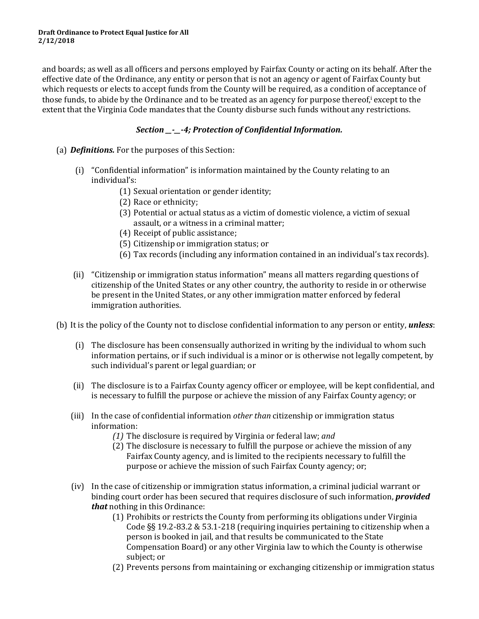and boards; as well as all officers and persons employed by Fairfax County or acting on its behalf. After the effective date of the Ordinance, any entity or person that is not an agency or agent of Fairfax County but which requests or elects to accept funds from the County will be required, as a condition of acceptance of those funds, to abide by the Ordinance and to be treated as an agency for purpose thereof, except to the extent that the Virginia Code mandates that the County disburse such funds without any restrictions.

## *Section \_\_-\_\_-4; Protection of Confidential Information.*

- (a) *Definitions.* For the purposes of this Section:
	- (i) "Confidential information" is information maintained by the County relating to an individual's:
		- (1) Sexual orientation or gender identity;
		- (2) Race or ethnicity;
		- (3) Potential or actual status as a victim of domestic violence, a victim of sexual assault, or a witness in a criminal matter;
		- (4) Receipt of public assistance;
		- (5) Citizenship or immigration status; or
		- (6) Tax records (including any information contained in an individual's tax records).
	- (ii) "Citizenship or immigration status information" means all matters regarding questions of citizenship of the United States or any other country, the authority to reside in or otherwise be present in the United States, or any other immigration matter enforced by federal immigration authorities.

(b) It is the policy of the County not to disclose confidential information to any person or entity, *unless*:

- (i) The disclosure has been consensually authorized in writing by the individual to whom such information pertains, or if such individual is a minor or is otherwise not legally competent, by such individual's parent or legal guardian; or
- (ii) The disclosure is to a Fairfax County agency officer or employee, will be kept confidential, and is necessary to fulfill the purpose or achieve the mission of any Fairfax County agency; or
- (iii) In the case of confidential information *other than* citizenship or immigration status information:
	- *(1)* The disclosure is required by Virginia or federal law; *and*
	- (2) The disclosure is necessary to fulfill the purpose or achieve the mission of any Fairfax County agency, and is limited to the recipients necessary to fulfill the purpose or achieve the mission of such Fairfax County agency; or;
- (iv) In the case of citizenship or immigration status information, a criminal judicial warrant or binding court order has been secured that requires disclosure of such information, *provided that* nothing in this Ordinance:
	- (1) Prohibits or restricts the County from performing its obligations under Virginia Code §§ 19.2-83.2 & 53.1-218 (requiring inquiries pertaining to citizenship when a person is booked in jail, and that results be communicated to the State Compensation Board) or any other Virginia law to which the County is otherwise subject; or
	- (2) Prevents persons from maintaining or exchanging citizenship or immigration status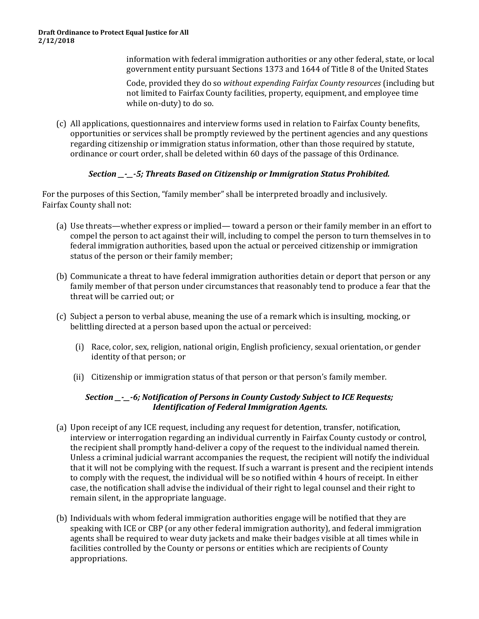information with federal immigration authorities or any other federal, state, or local government entity pursuant Sections 1373 and 1644 of Title 8 of the United States

Code, provided they do so *without expending Fairfax County resources* (including but not limited to Fairfax County facilities, property, equipment, and employee time while on-duty) to do so.

(c) All applications, questionnaires and interview forms used in relation to Fairfax County benefits, opportunities or services shall be promptly reviewed by the pertinent agencies and any questions regarding citizenship or immigration status information, other than those required by statute, ordinance or court order, shall be deleted within 60 days of the passage of this Ordinance.

## *Section \_\_-\_\_-5; Threats Based on Citizenship or Immigration Status Prohibited.*

For the purposes of this Section, "family member" shall be interpreted broadly and inclusively. Fairfax County shall not:

- (a) Use threats—whether express or implied— toward a person or their family member in an effort to compel the person to act against their will, including to compel the person to turn themselves in to federal immigration authorities, based upon the actual or perceived citizenship or immigration status of the person or their family member;
- (b) Communicate a threat to have federal immigration authorities detain or deport that person or any family member of that person under circumstances that reasonably tend to produce a fear that the threat will be carried out; or
- (c) Subject a person to verbal abuse, meaning the use of a remark which is insulting, mocking, or belittling directed at a person based upon the actual or perceived:
	- (i) Race, color, sex, religion, national origin, English proficiency, sexual orientation, or gender identity of that person; or
	- (ii) Citizenship or immigration status of that person or that person's family member.

## *Section \_\_-\_\_-6; Notification of Persons in County Custody Subject to ICE Requests; Identification of Federal Immigration Agents.*

- (a) Upon receipt of any ICE request, including any request for detention, transfer, notification, interview or interrogation regarding an individual currently in Fairfax County custody or control, the recipient shall promptly hand-deliver a copy of the request to the individual named therein. Unless a criminal judicial warrant accompanies the request, the recipient will notify the individual that it will not be complying with the request. If such a warrant is present and the recipient intends to comply with the request, the individual will be so notified within 4 hours of receipt. In either case, the notification shall advise the individual of their right to legal counsel and their right to remain silent, in the appropriate language.
- (b) Individuals with whom federal immigration authorities engage will be notified that they are speaking with ICE or CBP (or any other federal immigration authority), and federal immigration agents shall be required to wear duty jackets and make their badges visible at all times while in facilities controlled by the County or persons or entities which are recipients of County appropriations.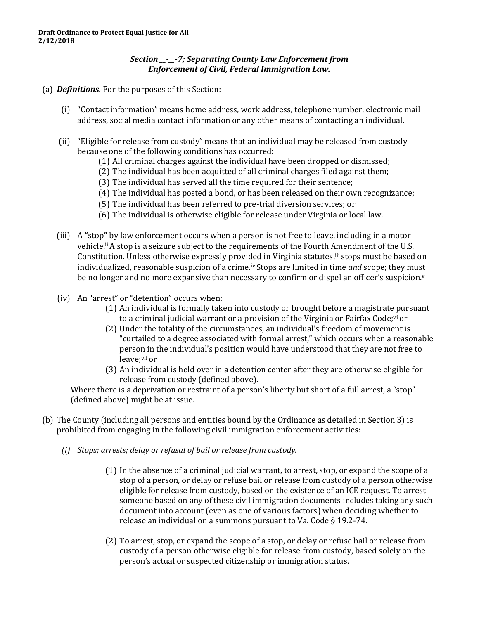#### *Section \_\_-\_\_-7; Separating County Law Enforcement from Enforcement of Civil, Federal Immigration Law.*

#### (a) *Definitions.* For the purposes of this Section:

- (i) "Contact information" means home address, work address, telephone number, electronic mail address, social media contact information or any other means of contacting an individual.
- (ii) "Eligible for release from custody" means that an individual may be released from custody because one of the following conditions has occurred:
	- (1) All criminal charges against the individual have been dropped or dismissed;
	- (2) The individual has been acquitted of all criminal charges filed against them;
	- (3) The individual has served all the time required for their sentence;
	- (4) The individual has posted a bond, or has been released on their own recognizance;
	- (5) The individual has been referred to pre-trial diversion services; or
	- (6) The individual is otherwise eligible for release under Virginia or local law.
- (iii) A **"**stop**"** by law enforcement occurs when a person is not free to leave, including in a motor vehicle.ii A stop is a seizure subject to the requirements of the Fourth Amendment of the U.S. Constitution. Unless otherwise expressly provided in Virginia statutes,<sup>iii</sup> stops must be based on individualized, reasonable suspicion of a crime.iv Stops are limited in time *and* scope; they must be no longer and no more expansive than necessary to confirm or dispel an officer's suspicion.<sup> $v$ </sup>
- (iv) An "arrest" or "detention" occurs when:
	- (1) An individual is formally taken into custody or brought before a magistrate pursuant to a criminal judicial warrant or a provision of the Virginia or Fairfax Code;<sup>vi</sup> or
	- (2) Under the totality of the circumstances, an individual's freedom of movement is "curtailed to a degree associated with formal arrest," which occurs when a reasonable person in the individual's position would have understood that they are not free to leave;vii or
	- (3) An individual is held over in a detention center after they are otherwise eligible for release from custody (defined above).

Where there is a deprivation or restraint of a person's liberty but short of a full arrest, a "stop" (defined above) might be at issue.

- (b) The County (including all persons and entities bound by the Ordinance as detailed in Section 3) is prohibited from engaging in the following civil immigration enforcement activities:
	- *(i) Stops; arrests; delay or refusal of bail or release from custody.*
		- (1) In the absence of a criminal judicial warrant, to arrest, stop, or expand the scope of a stop of a person, or delay or refuse bail or release from custody of a person otherwise eligible for release from custody, based on the existence of an ICE request. To arrest someone based on any of these civil immigration documents includes taking any such document into account (even as one of various factors) when deciding whether to release an individual on a summons pursuant to Va. Code § 19.2-74.
		- (2) To arrest, stop, or expand the scope of a stop, or delay or refuse bail or release from custody of a person otherwise eligible for release from custody, based solely on the person's actual or suspected citizenship or immigration status.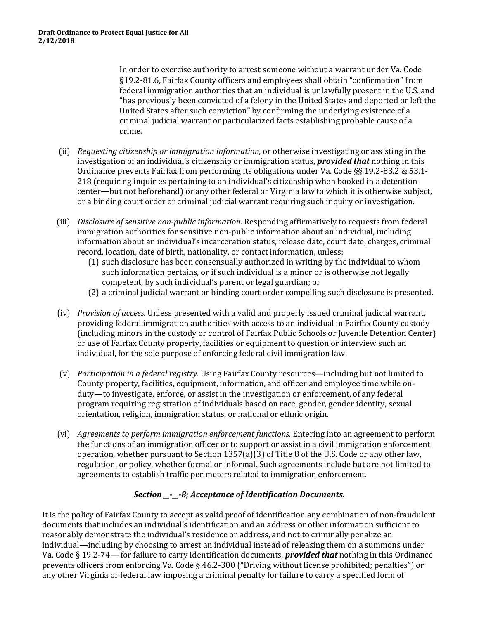In order to exercise authority to arrest someone without a warrant under Va. Code §19.2-81.6, Fairfax County officers and employees shall obtain "confirmation" from federal immigration authorities that an individual is unlawfully present in the U.S. and "has previously been convicted of a felony in the United States and deported or left the United States after such conviction" by confirming the underlying existence of a criminal judicial warrant or particularized facts establishing probable cause of a crime.

- (ii) *Requesting citizenship or immigration information*, or otherwise investigating or assisting in the investigation of an individual's citizenship or immigration status, *provided that* nothing in this Ordinance prevents Fairfax from performing its obligations under Va. Code §§ 19.2-83.2 & 53.1- 218 (requiring inquiries pertaining to an individual's citizenship when booked in a detention center—but not beforehand) or any other federal or Virginia law to which it is otherwise subject, or a binding court order or criminal judicial warrant requiring such inquiry or investigation.
- (iii) *Disclosure of sensitive non-public information*. Responding affirmatively to requests from federal immigration authorities for sensitive non-public information about an individual, including information about an individual's incarceration status, release date, court date, charges, criminal record, location, date of birth, nationality, or contact information, unless:
	- (1) such disclosure has been consensually authorized in writing by the individual to whom such information pertains, or if such individual is a minor or is otherwise not legally competent, by such individual's parent or legal guardian; or
	- (2) a criminal judicial warrant or binding court order compelling such disclosure is presented.
- (iv) *Provision of access.* Unless presented with a valid and properly issued criminal judicial warrant, providing federal immigration authorities with access to an individual in Fairfax County custody (including minors in the custody or control of Fairfax Public Schools or Juvenile Detention Center) or use of Fairfax County property, facilities or equipment to question or interview such an individual, for the sole purpose of enforcing federal civil immigration law.
- (v) *Participation in a federal registry.* Using Fairfax County resources—including but not limited to County property, facilities, equipment, information, and officer and employee time while onduty—to investigate, enforce, or assist in the investigation or enforcement, of any federal program requiring registration of individuals based on race, gender, gender identity, sexual orientation, religion, immigration status, or national or ethnic origin.
- (vi) *Agreements to perform immigration enforcement functions.* Entering into an agreement to perform the functions of an immigration officer or to support or assist in a civil immigration enforcement operation, whether pursuant to Section 1357(a)(3) of Title 8 of the U.S. Code or any other law, regulation, or policy, whether formal or informal. Such agreements include but are not limited to agreements to establish traffic perimeters related to immigration enforcement.

## *Section \_\_-\_\_-8; Acceptance of Identification Documents.*

It is the policy of Fairfax County to accept as valid proof of identification any combination of non-fraudulent documents that includes an individual's identification and an address or other information sufficient to reasonably demonstrate the individual's residence or address, and not to criminally penalize an individual—including by choosing to arrest an individual instead of releasing them on a summons under Va. Code § 19.2-74— for failure to carry identification documents, *provided that* nothing in this Ordinance prevents officers from enforcing Va. Code § 46.2-300 ("Driving without license prohibited; penalties") or any other Virginia or federal law imposing a criminal penalty for failure to carry a specified form of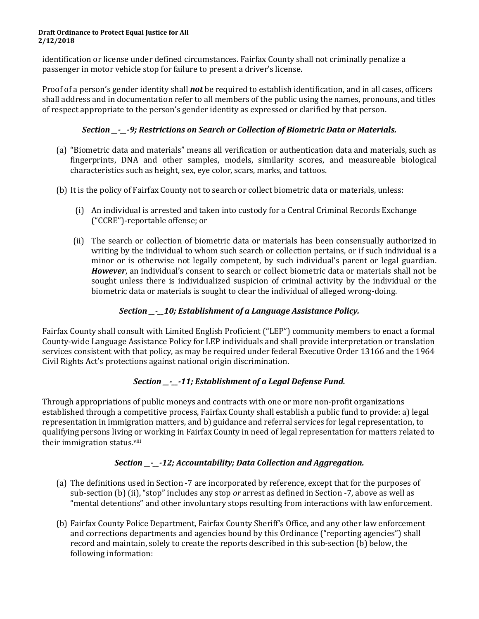#### **Draft Ordinance to Protect Equal Justice for All 2/12/2018**

identification or license under defined circumstances. Fairfax County shall not criminally penalize a passenger in motor vehicle stop for failure to present a driver's license.

Proof of a person's gender identity shall *not* be required to establish identification, and in all cases, officers shall address and in documentation refer to all members of the public using the names, pronouns, and titles of respect appropriate to the person's gender identity as expressed or clarified by that person.

## *Section \_\_-\_\_-9; Restrictions on Search or Collection of Biometric Data or Materials.*

- (a) "Biometric data and materials" means all verification or authentication data and materials, such as fingerprints, DNA and other samples, models, similarity scores, and measureable biological characteristics such as height, sex, eye color, scars, marks, and tattoos.
- (b) It is the policy of Fairfax County not to search or collect biometric data or materials, unless:
	- (i) An individual is arrested and taken into custody for a Central Criminal Records Exchange ("CCRE")-reportable offense; or
	- (ii) The search or collection of biometric data or materials has been consensually authorized in writing by the individual to whom such search or collection pertains, or if such individual is a minor or is otherwise not legally competent, by such individual's parent or legal guardian. *However*, an individual's consent to search or collect biometric data or materials shall not be sought unless there is individualized suspicion of criminal activity by the individual or the biometric data or materials is sought to clear the individual of alleged wrong-doing.

## *Section \_\_-\_\_10; Establishment of a Language Assistance Policy.*

Fairfax County shall consult with Limited English Proficient ("LEP") community members to enact a formal County-wide Language Assistance Policy for LEP individuals and shall provide interpretation or translation services consistent with that policy, as may be required under federal Executive Order 13166 and the 1964 Civil Rights Act's protections against national origin discrimination.

# *Section \_\_-\_\_-11; Establishment of a Legal Defense Fund.*

Through appropriations of public moneys and contracts with one or more non-profit organizations established through a competitive process, Fairfax County shall establish a public fund to provide: a) legal representation in immigration matters, and b) guidance and referral services for legal representation, to qualifying persons living or working in Fairfax County in need of legal representation for matters related to their immigration status.<sup>viii</sup>

# *Section \_\_-\_\_-12; Accountability; Data Collection and Aggregation.*

- (a) The definitions used in Section -7 are incorporated by reference, except that for the purposes of sub-section (b) (ii), "stop" includes any stop *or* arrest as defined in Section -7, above as well as "mental detentions" and other involuntary stops resulting from interactions with law enforcement.
- (b) Fairfax County Police Department, Fairfax County Sheriff's Office, and any other law enforcement and corrections departments and agencies bound by this Ordinance ("reporting agencies") shall record and maintain, solely to create the reports described in this sub-section (b) below, the following information: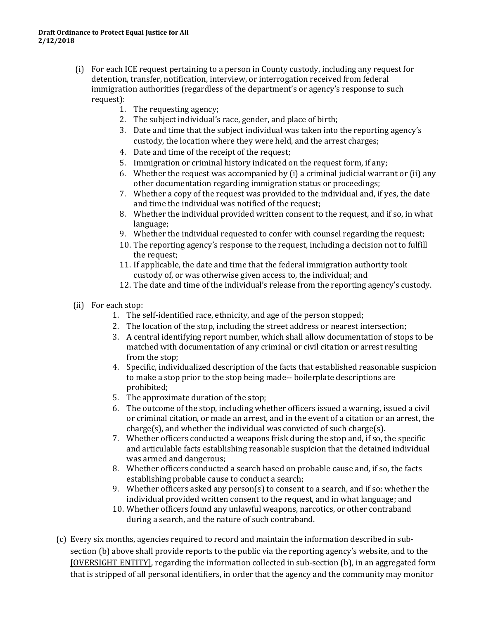- (i) For each ICE request pertaining to a person in County custody, including any request for detention, transfer, notification, interview, or interrogation received from federal immigration authorities (regardless of the department's or agency's response to such request):
	- 1. The requesting agency;
	- 2. The subject individual's race, gender, and place of birth;
	- 3. Date and time that the subject individual was taken into the reporting agency's custody, the location where they were held, and the arrest charges;
	- 4. Date and time of the receipt of the request;
	- 5. Immigration or criminal history indicated on the request form, if any;
	- 6. Whether the request was accompanied by (i) a criminal judicial warrant or (ii) any other documentation regarding immigration status or proceedings;
	- 7. Whether a copy of the request was provided to the individual and, if yes, the date and time the individual was notified of the request;
	- 8. Whether the individual provided written consent to the request, and if so, in what language;
	- 9. Whether the individual requested to confer with counsel regarding the request;
	- 10. The reporting agency's response to the request, including a decision not to fulfill the request;
	- 11. If applicable, the date and time that the federal immigration authority took custody of, or was otherwise given access to, the individual; and
	- 12. The date and time of the individual's release from the reporting agency's custody.
- (ii) For each stop:
	- 1. The self-identified race, ethnicity, and age of the person stopped;
	- 2. The location of the stop, including the street address or nearest intersection;
	- 3. A central identifying report number, which shall allow documentation of stops to be matched with documentation of any criminal or civil citation or arrest resulting from the stop;
	- 4. Specific, individualized description of the facts that established reasonable suspicion to make a stop prior to the stop being made-- boilerplate descriptions are prohibited;
	- 5. The approximate duration of the stop;
	- 6. The outcome of the stop, including whether officers issued a warning, issued a civil or criminal citation, or made an arrest, and in the event of a citation or an arrest, the charge(s), and whether the individual was convicted of such charge(s).
	- 7. Whether officers conducted a weapons frisk during the stop and, if so, the specific and articulable facts establishing reasonable suspicion that the detained individual was armed and dangerous;
	- 8. Whether officers conducted a search based on probable cause and, if so, the facts establishing probable cause to conduct a search;
	- 9. Whether officers asked any person(s) to consent to a search, and if so: whether the individual provided written consent to the request, and in what language; and
	- 10. Whether officers found any unlawful weapons, narcotics, or other contraband during a search, and the nature of such contraband.
- (c) Every six months, agencies required to record and maintain the information described in subsection (b) above shall provide reports to the public via the reporting agency's website, and to the [OVERSIGHT ENTITY], regarding the information collected in sub-section (b), in an aggregated form that is stripped of all personal identifiers, in order that the agency and the community may monitor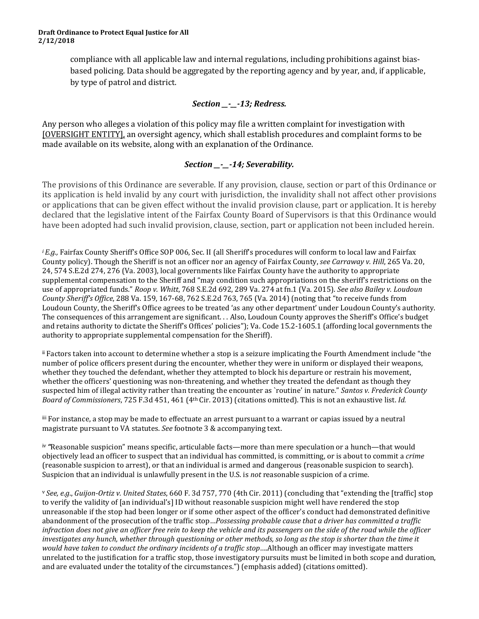compliance with all applicable law and internal regulations, including prohibitions against biasbased policing. Data should be aggregated by the reporting agency and by year, and, if applicable, by type of patrol and district.

## *Section \_\_-\_\_-13; Redress.*

Any person who alleges a violation of this policy may file a written complaint for investigation with [OVERSIGHT ENTITY], an oversight agency, which shall establish procedures and complaint forms to be made available on its website, along with an explanation of the Ordinance.

## *Section \_\_-\_\_-14; Severability.*

The provisions of this Ordinance are severable. If any provision, clause, section or part of this Ordinance or its application is held invalid by any court with jurisdiction, the invalidity shall not affect other provisions or applications that can be given effect without the invalid provision clause, part or application. It is hereby declared that the legislative intent of the Fairfax County Board of Supervisors is that this Ordinance would have been adopted had such invalid provision, clause, section, part or application not been included herein.

*i E.g.*, Fairfax County Sheriff's Office SOP 006, Sec. II (all Sheriff's procedures will conform to local law and Fairfax County policy). Though the Sheriff is not an officer nor an agency of Fairfax County, *see Carraway v. Hill*, 265 Va. 20, 24, 574 S.E.2d 274, 276 (Va. 2003), local governments like Fairfax County have the authority to appropriate supplemental compensation to the Sheriff and "may condition such appropriations on the sheriff's restrictions on the use of appropriated funds." *Roop v. Whitt*, 768 S.E.2d 692, 289 Va. 274 at fn.1 (Va. 2015). *See also Bailey v. Loudoun County Sheriff's Office*, 288 Va. 159, 167-68, 762 S.E.2d 763, 765 (Va. 2014) (noting that "to receive funds from Loudoun County, the Sheriff's Office agrees to be treated 'as any other department' under Loudoun County's authority. The consequences of this arrangement are significant. . . Also, Loudoun County approves the Sheriff's Office's budget and retains authority to dictate the Sheriff's Offices' policies"); Va. Code 15.2-1605.1 (affording local governments the authority to appropriate supplemental compensation for the Sheriff).

ii Factors taken into account to determine whether a stop is a seizure implicating the Fourth Amendment include "the number of police officers present during the encounter, whether they were in uniform or displayed their weapons, whether they touched the defendant, whether they attempted to block his departure or restrain his movement, whether the officers' questioning was non-threatening, and whether they treated the defendant as though they suspected him of illegal activity rather than treating the encounter as `routine' in nature." *Santos v. Frederick County Board of Commissioners*, 725 F.3d 451, 461 (4th Cir. 2013) (citations omitted). This is not an exhaustive list. *Id.*

iii For instance, a stop may be made to effectuate an arrest pursuant to a warrant or capias issued by a neutral magistrate pursuant to VA statutes. *See* footnote 3 & accompanying text.

iv *"*Reasonable suspicion" means specific, articulable facts—more than mere speculation or a hunch—that would objectively lead an officer to suspect that an individual has committed, is committing, or is about to commit a *crime*  (reasonable suspicion to arrest), or that an individual is armed and dangerous (reasonable suspicion to search). Suspicion that an individual is unlawfully present in the U.S. is *not* reasonable suspicion of a crime.

<sup>v</sup>*See, e.g*., *Guijon-Ortiz v. United States*, 660 F. 3d 757, 770 (4th Cir. 2011) (concluding that "extending the [traffic] stop to verify the validity of [an individual's] ID without reasonable suspicion might well have rendered the stop unreasonable if the stop had been longer or if some other aspect of the officer's conduct had demonstrated definitive abandonment of the prosecution of the traffic stop…*Possessing probable cause that a driver has committed a traffic infraction does not give an officer free rein to keep the vehicle and its passengers on the side of the road while the officer investigates any hunch, whether through questioning or other methods, so long as the stop is shorter than the time it would have taken to conduct the ordinary incidents of a traffic stop*….Although an officer may investigate matters unrelated to the justification for a traffic stop, those investigatory pursuits must be limited in both scope and duration, and are evaluated under the totality of the circumstances.") (emphasis added) (citations omitted).